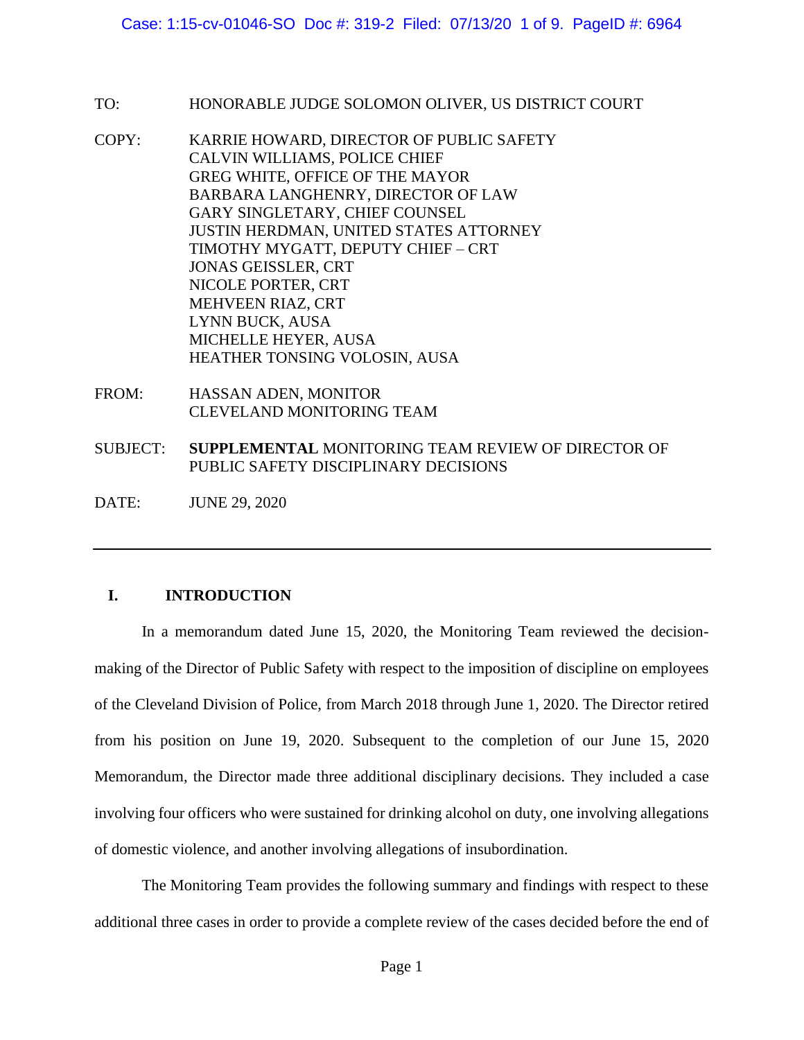- TO: HONORABLE JUDGE SOLOMON OLIVER, US DISTRICT COURT
- COPY: KARRIE HOWARD, DIRECTOR OF PUBLIC SAFETY CALVIN WILLIAMS, POLICE CHIEF GREG WHITE, OFFICE OF THE MAYOR BARBARA LANGHENRY, DIRECTOR OF LAW GARY SINGLETARY, CHIEF COUNSEL JUSTIN HERDMAN, UNITED STATES ATTORNEY TIMOTHY MYGATT, DEPUTY CHIEF – CRT JONAS GEISSLER, CRT NICOLE PORTER, CRT MEHVEEN RIAZ, CRT LYNN BUCK, AUSA MICHELLE HEYER, AUSA HEATHER TONSING VOLOSIN, AUSA
- FROM: HASSAN ADEN, MONITOR CLEVELAND MONITORING TEAM
- SUBJECT: **SUPPLEMENTAL** MONITORING TEAM REVIEW OF DIRECTOR OF PUBLIC SAFETY DISCIPLINARY DECISIONS
- DATE: JUNE 29, 2020

# **I. INTRODUCTION**

In a memorandum dated June 15, 2020, the Monitoring Team reviewed the decisionmaking of the Director of Public Safety with respect to the imposition of discipline on employees of the Cleveland Division of Police, from March 2018 through June 1, 2020. The Director retired from his position on June 19, 2020. Subsequent to the completion of our June 15, 2020 Memorandum, the Director made three additional disciplinary decisions. They included a case involving four officers who were sustained for drinking alcohol on duty, one involving allegations of domestic violence, and another involving allegations of insubordination.

The Monitoring Team provides the following summary and findings with respect to these additional three cases in order to provide a complete review of the cases decided before the end of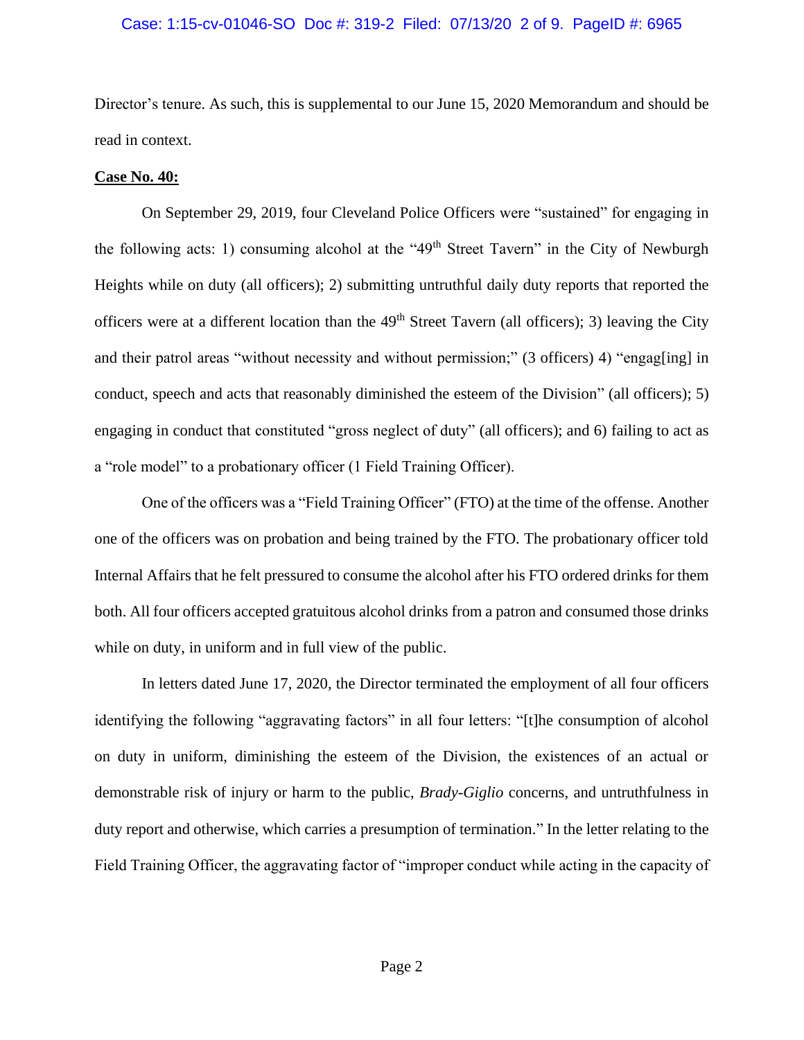# Case: 1:15-cv-01046-SO Doc #: 319-2 Filed: 07/13/20 2 of 9. PageID #: 6965

Director's tenure. As such, this is supplemental to our June 15, 2020 Memorandum and should be read in context.

# **Case No. 40:**

On September 29, 2019, four Cleveland Police Officers were "sustained" for engaging in the following acts: 1) consuming alcohol at the " $49<sup>th</sup>$  Street Tavern" in the City of Newburgh Heights while on duty (all officers); 2) submitting untruthful daily duty reports that reported the officers were at a different location than the 49<sup>th</sup> Street Tavern (all officers); 3) leaving the City and their patrol areas "without necessity and without permission;" (3 officers) 4) "engag[ing] in conduct, speech and acts that reasonably diminished the esteem of the Division" (all officers); 5) engaging in conduct that constituted "gross neglect of duty" (all officers); and 6) failing to act as a "role model" to a probationary officer (1 Field Training Officer).

One of the officers was a "Field Training Officer" (FTO) at the time of the offense. Another one of the officers was on probation and being trained by the FTO. The probationary officer told Internal Affairs that he felt pressured to consume the alcohol after his FTO ordered drinks for them both. All four officers accepted gratuitous alcohol drinks from a patron and consumed those drinks while on duty, in uniform and in full view of the public.

In letters dated June 17, 2020, the Director terminated the employment of all four officers identifying the following "aggravating factors" in all four letters: "[t]he consumption of alcohol on duty in uniform, diminishing the esteem of the Division, the existences of an actual or demonstrable risk of injury or harm to the public, *Brady-Giglio* concerns, and untruthfulness in duty report and otherwise, which carries a presumption of termination." In the letter relating to the Field Training Officer, the aggravating factor of "improper conduct while acting in the capacity of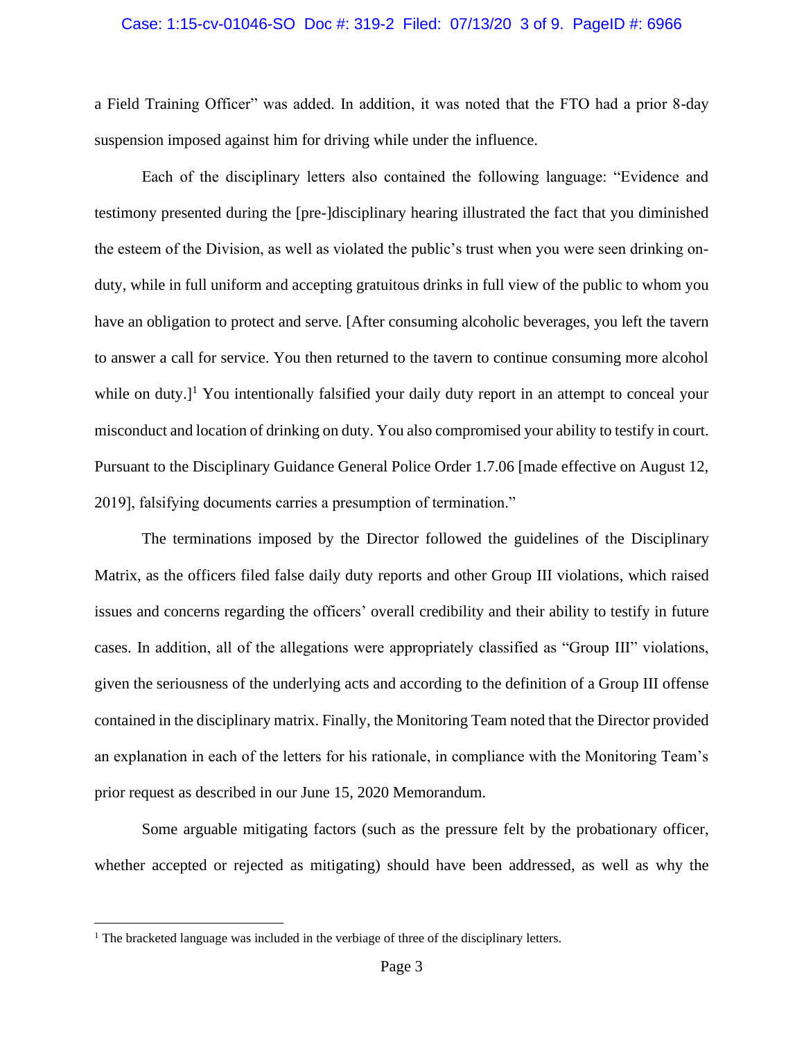# Case: 1:15-cv-01046-SO Doc #: 319-2 Filed: 07/13/20 3 of 9. PageID #: 6966

a Field Training Officer" was added. In addition, it was noted that the FTO had a prior 8-day suspension imposed against him for driving while under the influence.

Each of the disciplinary letters also contained the following language: "Evidence and testimony presented during the [pre-]disciplinary hearing illustrated the fact that you diminished the esteem of the Division, as well as violated the public's trust when you were seen drinking onduty, while in full uniform and accepting gratuitous drinks in full view of the public to whom you have an obligation to protect and serve. [After consuming alcoholic beverages, you left the tavern to answer a call for service. You then returned to the tavern to continue consuming more alcohol while on duty. $]$ <sup>1</sup> You intentionally falsified your daily duty report in an attempt to conceal your misconduct and location of drinking on duty. You also compromised your ability to testify in court. Pursuant to the Disciplinary Guidance General Police Order 1.7.06 [made effective on August 12, 2019], falsifying documents carries a presumption of termination."

The terminations imposed by the Director followed the guidelines of the Disciplinary Matrix, as the officers filed false daily duty reports and other Group III violations, which raised issues and concerns regarding the officers' overall credibility and their ability to testify in future cases. In addition, all of the allegations were appropriately classified as "Group III" violations, given the seriousness of the underlying acts and according to the definition of a Group III offense contained in the disciplinary matrix. Finally, the Monitoring Team noted that the Director provided an explanation in each of the letters for his rationale, in compliance with the Monitoring Team's prior request as described in our June 15, 2020 Memorandum.

Some arguable mitigating factors (such as the pressure felt by the probationary officer, whether accepted or rejected as mitigating) should have been addressed, as well as why the

<sup>&</sup>lt;sup>1</sup> The bracketed language was included in the verbiage of three of the disciplinary letters.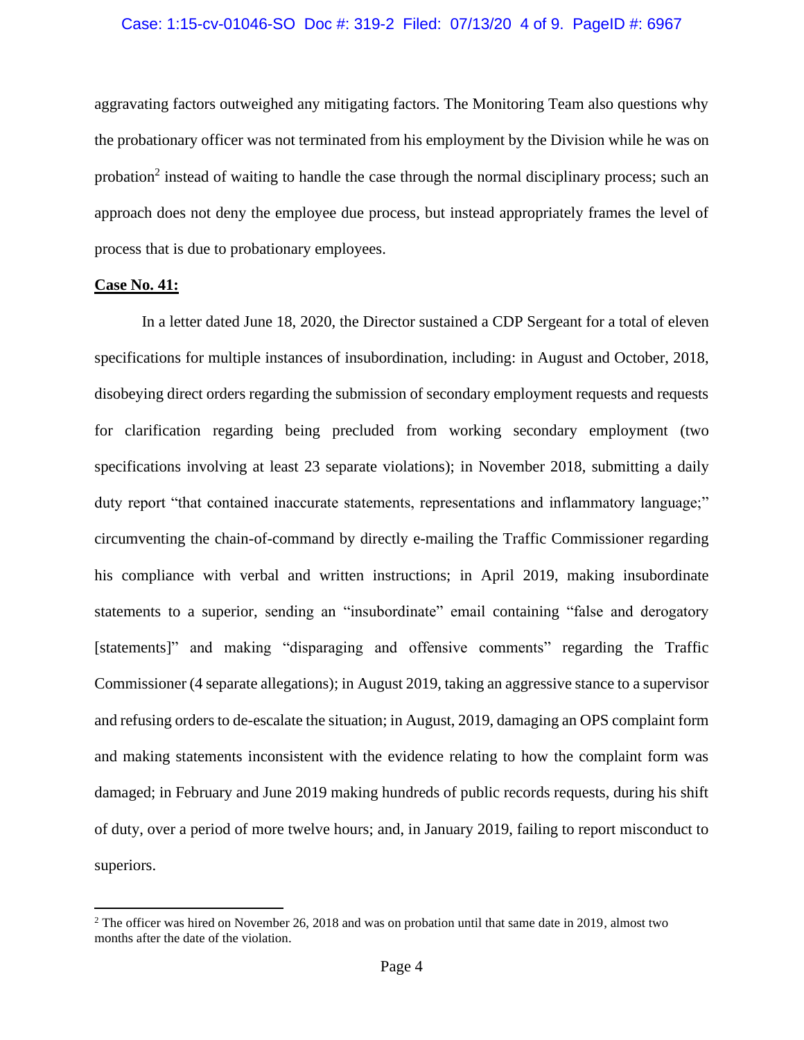# Case: 1:15-cv-01046-SO Doc #: 319-2 Filed: 07/13/20 4 of 9. PageID #: 6967

aggravating factors outweighed any mitigating factors. The Monitoring Team also questions why the probationary officer was not terminated from his employment by the Division while he was on probation<sup>2</sup> instead of waiting to handle the case through the normal disciplinary process; such an approach does not deny the employee due process, but instead appropriately frames the level of process that is due to probationary employees.

# **Case No. 41:**

In a letter dated June 18, 2020, the Director sustained a CDP Sergeant for a total of eleven specifications for multiple instances of insubordination, including: in August and October, 2018, disobeying direct orders regarding the submission of secondary employment requests and requests for clarification regarding being precluded from working secondary employment (two specifications involving at least 23 separate violations); in November 2018, submitting a daily duty report "that contained inaccurate statements, representations and inflammatory language;" circumventing the chain-of-command by directly e-mailing the Traffic Commissioner regarding his compliance with verbal and written instructions; in April 2019, making insubordinate statements to a superior, sending an "insubordinate" email containing "false and derogatory [statements]" and making "disparaging and offensive comments" regarding the Traffic Commissioner (4 separate allegations); in August 2019, taking an aggressive stance to a supervisor and refusing orders to de-escalate the situation; in August, 2019, damaging an OPS complaint form and making statements inconsistent with the evidence relating to how the complaint form was damaged; in February and June 2019 making hundreds of public records requests, during his shift of duty, over a period of more twelve hours; and, in January 2019, failing to report misconduct to superiors.

<sup>&</sup>lt;sup>2</sup> The officer was hired on November 26, 2018 and was on probation until that same date in 2019, almost two months after the date of the violation.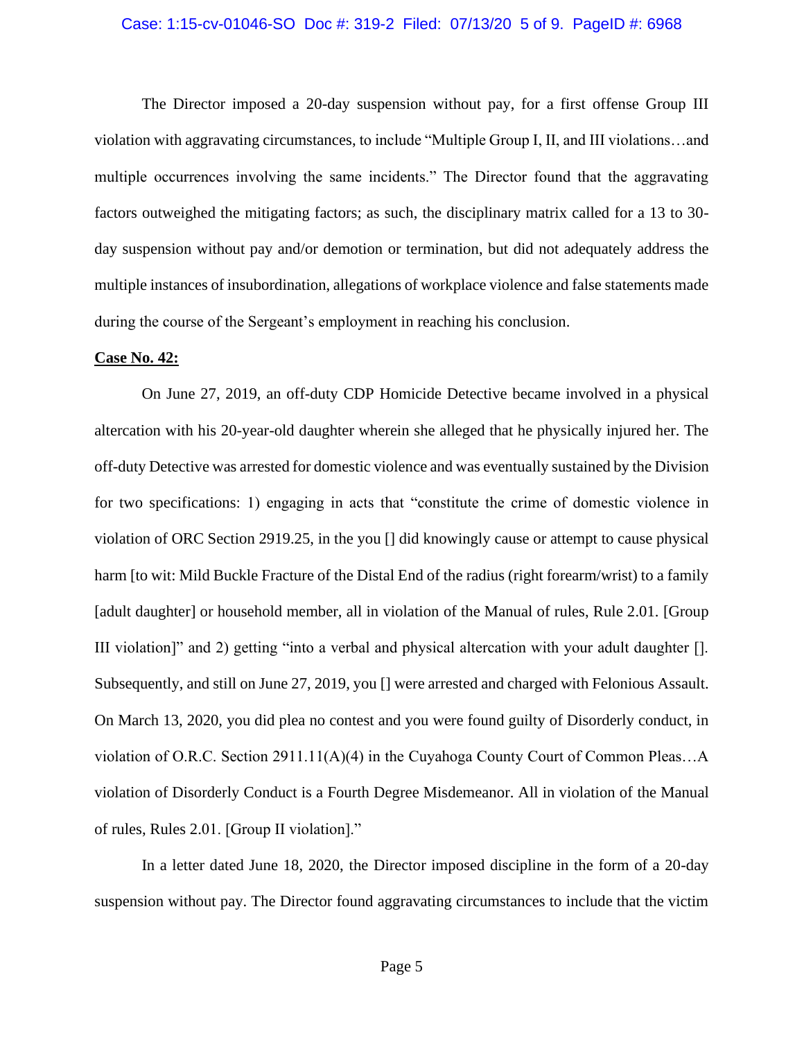# Case: 1:15-cv-01046-SO Doc #: 319-2 Filed: 07/13/20 5 of 9. PageID #: 6968

The Director imposed a 20-day suspension without pay, for a first offense Group III violation with aggravating circumstances, to include "Multiple Group I, II, and III violations…and multiple occurrences involving the same incidents." The Director found that the aggravating factors outweighed the mitigating factors; as such, the disciplinary matrix called for a 13 to 30 day suspension without pay and/or demotion or termination, but did not adequately address the multiple instances of insubordination, allegations of workplace violence and false statements made during the course of the Sergeant's employment in reaching his conclusion.

#### **Case No. 42:**

On June 27, 2019, an off-duty CDP Homicide Detective became involved in a physical altercation with his 20-year-old daughter wherein she alleged that he physically injured her. The off-duty Detective was arrested for domestic violence and was eventually sustained by the Division for two specifications: 1) engaging in acts that "constitute the crime of domestic violence in violation of ORC Section 2919.25, in the you [] did knowingly cause or attempt to cause physical harm [to wit: Mild Buckle Fracture of the Distal End of the radius (right forearm/wrist) to a family [adult daughter] or household member, all in violation of the Manual of rules, Rule 2.01. [Group III violation]" and 2) getting "into a verbal and physical altercation with your adult daughter []. Subsequently, and still on June 27, 2019, you [] were arrested and charged with Felonious Assault. On March 13, 2020, you did plea no contest and you were found guilty of Disorderly conduct, in violation of O.R.C. Section 2911.11(A)(4) in the Cuyahoga County Court of Common Pleas…A violation of Disorderly Conduct is a Fourth Degree Misdemeanor. All in violation of the Manual of rules, Rules 2.01. [Group II violation]."

In a letter dated June 18, 2020, the Director imposed discipline in the form of a 20-day suspension without pay. The Director found aggravating circumstances to include that the victim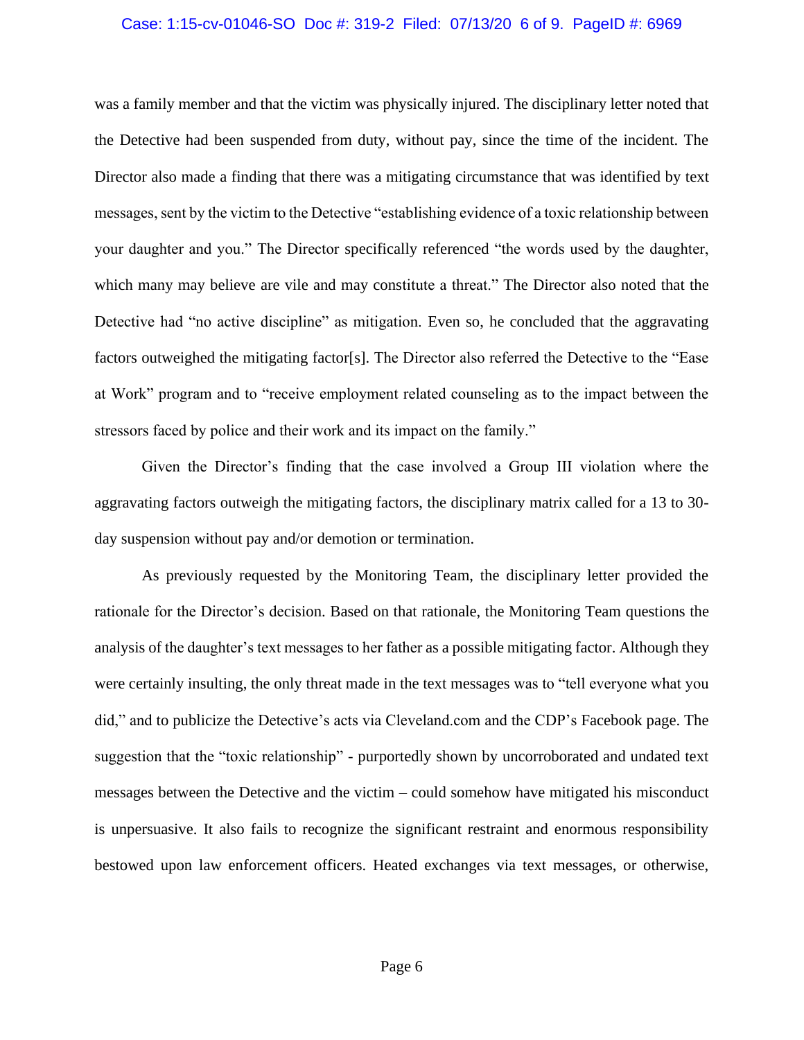# Case: 1:15-cv-01046-SO Doc #: 319-2 Filed: 07/13/20 6 of 9. PageID #: 6969

was a family member and that the victim was physically injured. The disciplinary letter noted that the Detective had been suspended from duty, without pay, since the time of the incident. The Director also made a finding that there was a mitigating circumstance that was identified by text messages, sent by the victim to the Detective "establishing evidence of a toxic relationship between your daughter and you." The Director specifically referenced "the words used by the daughter, which many may believe are vile and may constitute a threat." The Director also noted that the Detective had "no active discipline" as mitigation. Even so, he concluded that the aggravating factors outweighed the mitigating factor[s]. The Director also referred the Detective to the "Ease at Work" program and to "receive employment related counseling as to the impact between the stressors faced by police and their work and its impact on the family."

Given the Director's finding that the case involved a Group III violation where the aggravating factors outweigh the mitigating factors, the disciplinary matrix called for a 13 to 30 day suspension without pay and/or demotion or termination.

As previously requested by the Monitoring Team, the disciplinary letter provided the rationale for the Director's decision. Based on that rationale, the Monitoring Team questions the analysis of the daughter's text messages to her father as a possible mitigating factor. Although they were certainly insulting, the only threat made in the text messages was to "tell everyone what you did," and to publicize the Detective's acts via Cleveland.com and the CDP's Facebook page. The suggestion that the "toxic relationship" - purportedly shown by uncorroborated and undated text messages between the Detective and the victim – could somehow have mitigated his misconduct is unpersuasive. It also fails to recognize the significant restraint and enormous responsibility bestowed upon law enforcement officers. Heated exchanges via text messages, or otherwise,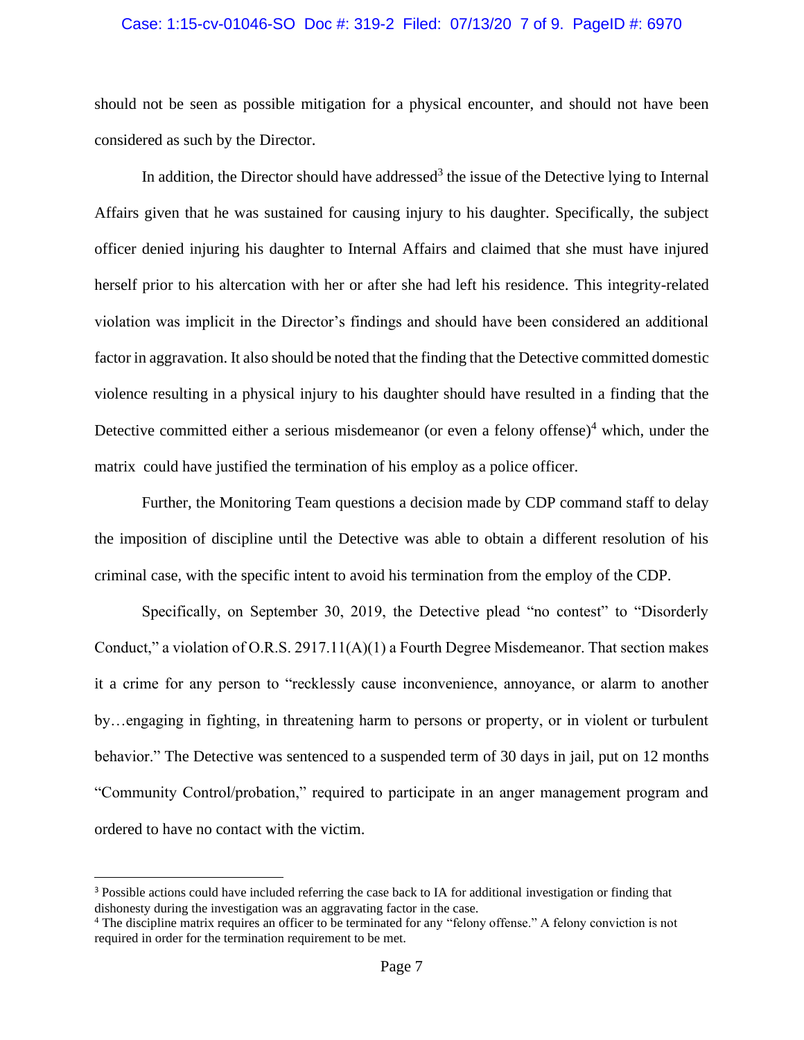# Case: 1:15-cv-01046-SO Doc #: 319-2 Filed: 07/13/20 7 of 9. PageID #: 6970

should not be seen as possible mitigation for a physical encounter, and should not have been considered as such by the Director.

In addition, the Director should have addressed<sup>3</sup> the issue of the Detective lying to Internal Affairs given that he was sustained for causing injury to his daughter. Specifically, the subject officer denied injuring his daughter to Internal Affairs and claimed that she must have injured herself prior to his altercation with her or after she had left his residence. This integrity-related violation was implicit in the Director's findings and should have been considered an additional factor in aggravation. It also should be noted that the finding that the Detective committed domestic violence resulting in a physical injury to his daughter should have resulted in a finding that the Detective committed either a serious misdemeanor (or even a felony offense)<sup>4</sup> which, under the matrix could have justified the termination of his employ as a police officer.

Further, the Monitoring Team questions a decision made by CDP command staff to delay the imposition of discipline until the Detective was able to obtain a different resolution of his criminal case, with the specific intent to avoid his termination from the employ of the CDP.

Specifically, on September 30, 2019, the Detective plead "no contest" to "Disorderly Conduct," a violation of O.R.S. 2917.11(A)(1) a Fourth Degree Misdemeanor. That section makes it a crime for any person to "recklessly cause inconvenience, annoyance, or alarm to another by…engaging in fighting, in threatening harm to persons or property, or in violent or turbulent behavior." The Detective was sentenced to a suspended term of 30 days in jail, put on 12 months "Community Control/probation," required to participate in an anger management program and ordered to have no contact with the victim.

<sup>3</sup> Possible actions could have included referring the case back to IA for additional investigation or finding that dishonesty during the investigation was an aggravating factor in the case.

<sup>4</sup> The discipline matrix requires an officer to be terminated for any "felony offense." A felony conviction is not required in order for the termination requirement to be met.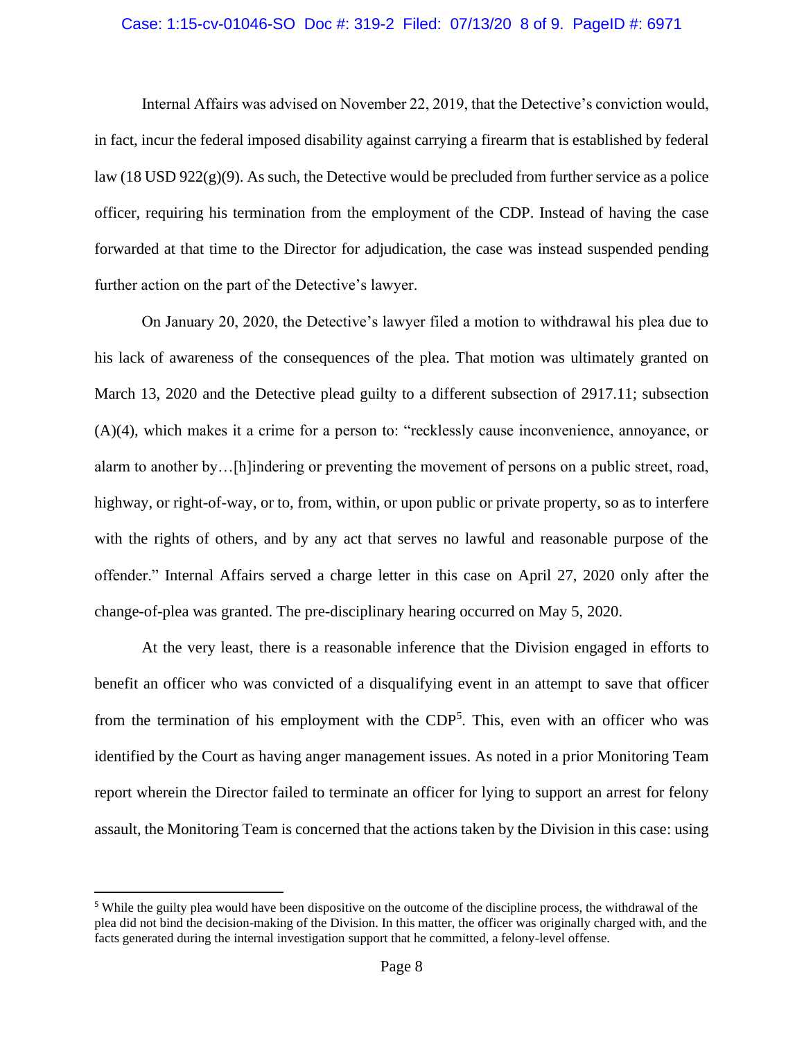# Case: 1:15-cv-01046-SO Doc #: 319-2 Filed: 07/13/20 8 of 9. PageID #: 6971

Internal Affairs was advised on November 22, 2019, that the Detective's conviction would, in fact, incur the federal imposed disability against carrying a firearm that is established by federal law (18 USD  $922(g)(9)$ ). As such, the Detective would be precluded from further service as a police officer, requiring his termination from the employment of the CDP. Instead of having the case forwarded at that time to the Director for adjudication, the case was instead suspended pending further action on the part of the Detective's lawyer.

On January 20, 2020, the Detective's lawyer filed a motion to withdrawal his plea due to his lack of awareness of the consequences of the plea. That motion was ultimately granted on March 13, 2020 and the Detective plead guilty to a different subsection of 2917.11; subsection (A)(4), which makes it a crime for a person to: "recklessly cause inconvenience, annoyance, or alarm to another by…[h]indering or preventing the movement of persons on a public street, road, highway, or right-of-way, or to, from, within, or upon public or private property, so as to interfere with the rights of others, and by any act that serves no lawful and reasonable purpose of the offender." Internal Affairs served a charge letter in this case on April 27, 2020 only after the change-of-plea was granted. The pre-disciplinary hearing occurred on May 5, 2020.

At the very least, there is a reasonable inference that the Division engaged in efforts to benefit an officer who was convicted of a disqualifying event in an attempt to save that officer from the termination of his employment with the CDP<sup>5</sup>. This, even with an officer who was identified by the Court as having anger management issues. As noted in a prior Monitoring Team report wherein the Director failed to terminate an officer for lying to support an arrest for felony assault, the Monitoring Team is concerned that the actions taken by the Division in this case: using

<sup>5</sup> While the guilty plea would have been dispositive on the outcome of the discipline process, the withdrawal of the plea did not bind the decision-making of the Division. In this matter, the officer was originally charged with, and the facts generated during the internal investigation support that he committed, a felony-level offense.